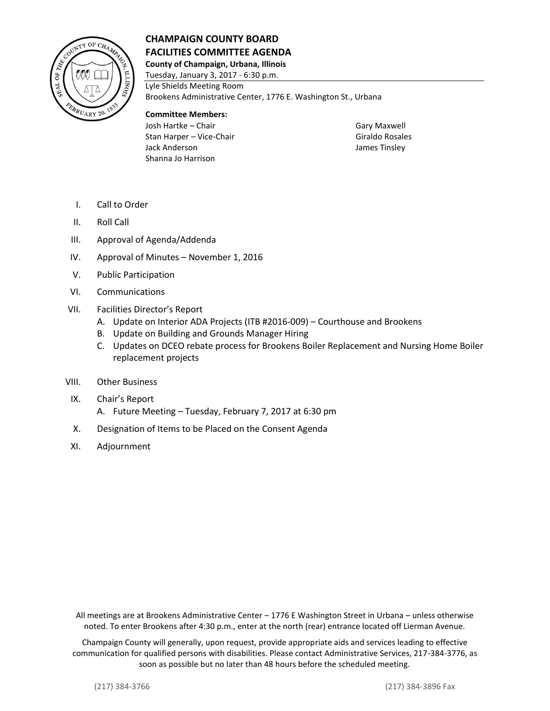

## **CHAMPAIGN COUNTY BOARD FACILITIES COMMITTEE AGENDA**

**County of Champaign, Urbana, Illinois**

Tuesday, January 3, 2017 - 6:30 p.m. Lyle Shields Meeting Room Brookens Administrative Center, 1776 E. Washington St., Urbana

## **Committee Members:**

Josh Hartke – Chair Gary Maxwell Stan Harper – Vice-Chair Giraldo Rosales Jack Anderson James Tinsley Shanna Jo Harrison

- I. Call to Order
- II. Roll Call
- III. Approval of Agenda/Addenda
- IV. Approval of Minutes November 1, 2016
- V. Public Participation
- VI. Communications
- VII. Facilities Director's Report
	- A. Update on Interior ADA Projects (ITB #2016-009) Courthouse and Brookens
	- B. Update on Building and Grounds Manager Hiring
	- C. Updates on DCEO rebate process for Brookens Boiler Replacement and Nursing Home Boiler replacement projects
- VIII. Other Business
- IX. Chair's Report
	- A. Future Meeting Tuesday, February 7, 2017 at 6:30 pm
- X. Designation of Items to be Placed on the Consent Agenda
- XI. Adjournment

All meetings are at Brookens Administrative Center – 1776 E Washington Street in Urbana – unless otherwise noted. To enter Brookens after 4:30 p.m., enter at the north (rear) entrance located off Lierman Avenue.

Champaign County will generally, upon request, provide appropriate aids and services leading to effective communication for qualified persons with disabilities. Please contact Administrative Services, 217-384-3776, as soon as possible but no later than 48 hours before the scheduled meeting.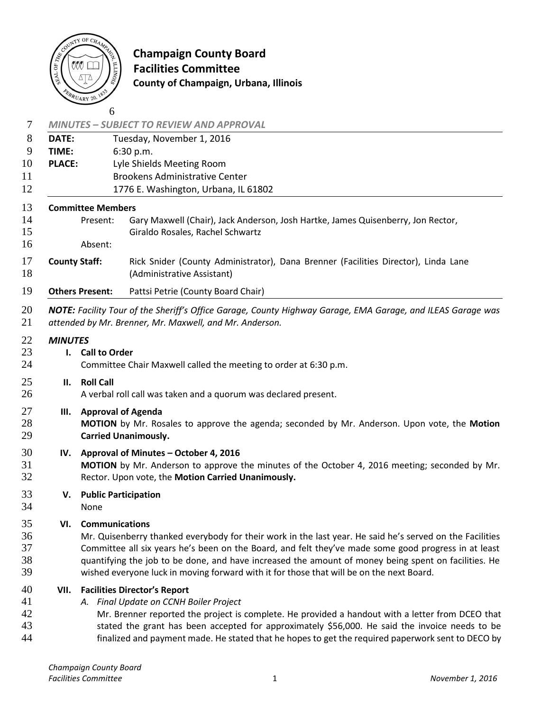

# **Champaign County Board**  $\ddot{\bar{\bm{\xi}}}$  **Facilities Committee County of Champaign, Urbana, Illinois**

|                      |                                           | <b>MINUTES - SUBJECT TO REVIEW AND APPROVAL</b>                                                                                                                        |  |
|----------------------|-------------------------------------------|------------------------------------------------------------------------------------------------------------------------------------------------------------------------|--|
| DATE:                |                                           | Tuesday, November 1, 2016                                                                                                                                              |  |
| TIME:                |                                           | 6:30 p.m.                                                                                                                                                              |  |
| <b>PLACE:</b>        |                                           | Lyle Shields Meeting Room                                                                                                                                              |  |
|                      |                                           | <b>Brookens Administrative Center</b>                                                                                                                                  |  |
|                      |                                           | 1776 E. Washington, Urbana, IL 61802                                                                                                                                   |  |
|                      | <b>Committee Members</b>                  |                                                                                                                                                                        |  |
|                      | Present:                                  | Gary Maxwell (Chair), Jack Anderson, Josh Hartke, James Quisenberry, Jon Rector,                                                                                       |  |
|                      |                                           | Giraldo Rosales, Rachel Schwartz                                                                                                                                       |  |
|                      | Absent:                                   |                                                                                                                                                                        |  |
| <b>County Staff:</b> |                                           | Rick Snider (County Administrator), Dana Brenner (Facilities Director), Linda Lane<br>(Administrative Assistant)                                                       |  |
|                      | <b>Others Present:</b>                    | Pattsi Petrie (County Board Chair)                                                                                                                                     |  |
|                      |                                           | NOTE: Facility Tour of the Sheriff's Office Garage, County Highway Garage, EMA Garage, and ILEAS Garage was<br>attended by Mr. Brenner, Mr. Maxwell, and Mr. Anderson. |  |
| <b>MINUTES</b>       |                                           |                                                                                                                                                                        |  |
|                      | <b>Call to Order</b><br>$\mathbf{l}$ .    |                                                                                                                                                                        |  |
|                      |                                           | Committee Chair Maxwell called the meeting to order at 6:30 p.m.                                                                                                       |  |
| II.                  | <b>Roll Call</b>                          |                                                                                                                                                                        |  |
|                      |                                           | A verbal roll call was taken and a quorum was declared present.                                                                                                        |  |
| Ш.                   |                                           | <b>Approval of Agenda</b>                                                                                                                                              |  |
|                      |                                           | MOTION by Mr. Rosales to approve the agenda; seconded by Mr. Anderson. Upon vote, the Motion                                                                           |  |
|                      |                                           | <b>Carried Unanimously.</b>                                                                                                                                            |  |
|                      | IV. Approval of Minutes - October 4, 2016 |                                                                                                                                                                        |  |
|                      |                                           | MOTION by Mr. Anderson to approve the minutes of the October 4, 2016 meeting; seconded by Mr.                                                                          |  |
|                      |                                           | Rector. Upon vote, the Motion Carried Unanimously.                                                                                                                     |  |
| V.                   | <b>Public Participation</b>               |                                                                                                                                                                        |  |
|                      | None                                      |                                                                                                                                                                        |  |
| VI.                  | <b>Communications</b>                     |                                                                                                                                                                        |  |
|                      |                                           | Mr. Quisenberry thanked everybody for their work in the last year. He said he's served on the Facilities                                                               |  |
|                      |                                           | Committee all six years he's been on the Board, and felt they've made some good progress in at least                                                                   |  |
|                      |                                           | quantifying the job to be done, and have increased the amount of money being spent on facilities. He                                                                   |  |
|                      |                                           | wished everyone luck in moving forward with it for those that will be on the next Board.                                                                               |  |
| VII.                 |                                           | <b>Facilities Director's Report</b>                                                                                                                                    |  |
|                      |                                           | A. Final Update on CCNH Boiler Project                                                                                                                                 |  |
|                      |                                           | Mr. Brenner reported the project is complete. He provided a handout with a letter from DCEO that                                                                       |  |
|                      |                                           | stated the grant has been accepted for approximately \$56,000. He said the invoice needs to be                                                                         |  |
|                      |                                           | finalized and payment made. He stated that he hopes to get the required paperwork sent to DECO by                                                                      |  |